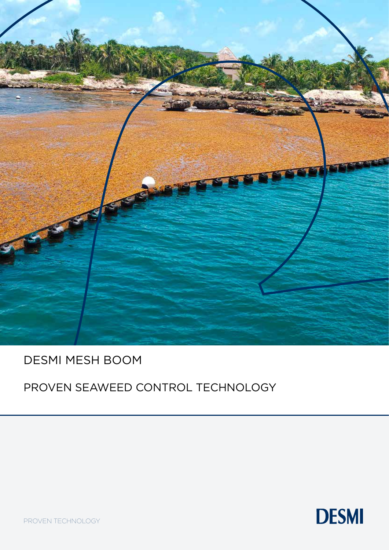

## DESMI MESH BOOM

## PROVEN SEAWEED CONTROL TECHNOLOGY